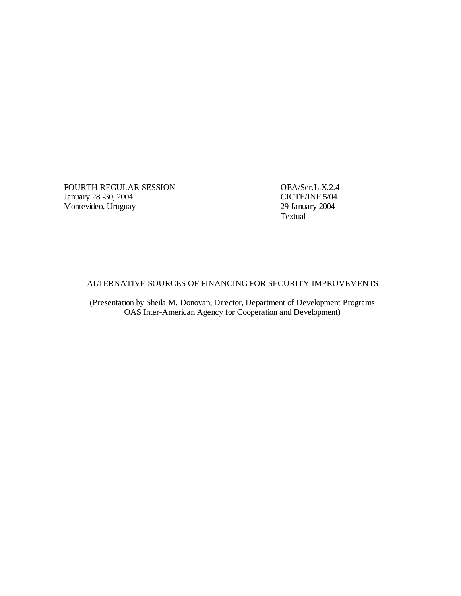FOURTH REGULAR SESSION OEA/Ser.L.X.2.4<br>January 28 -30, 2004 CICTE/INF.5/04 January 28 -30, 2004 Montevideo, Uruguay

29 January 2004<br>Textual

# ALTERNATIVE SOURCES OF FINANCING FOR SECURITY IMPROVEMENTS

(Presentation by Sheila M. Donovan, Director, Department of Development Programs OAS Inter-American Agency for Cooperation and Development)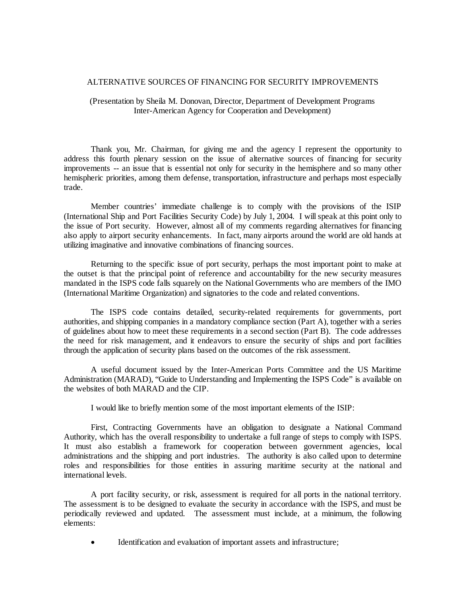### ALTERNATIVE SOURCES OF FINANCING FOR SECURITY IMPROVEMENTS

## (Presentation by Sheila M. Donovan, Director, Department of Development Programs Inter-American Agency for Cooperation and Development)

Thank you, Mr. Chairman, for giving me and the agency I represent the opportunity to address this fourth plenary session on the issue of alternative sources of financing for security improvements -- an issue that is essential not only for security in the hemisphere and so many other hemispheric priorities, among them defense, transportation, infrastructure and perhaps most especially trade.

Member countries' immediate challenge is to comply with the provisions of the ISIP (International Ship and Port Facilities Security Code) by July 1, 2004. I will speak at this point only to the issue of Port security. However, almost all of my comments regarding alternatives for financing also apply to airport security enhancements. In fact, many airports around the world are old hands at utilizing imaginative and innovative combinations of financing sources.

Returning to the specific issue of port security, perhaps the most important point to make at the outset is that the principal point of reference and accountability for the new security measures mandated in the ISPS code falls squarely on the National Governments who are members of the IMO (International Maritime Organization) and signatories to the code and related conventions.

The ISPS code contains detailed, security-related requirements for governments, port authorities, and shipping companies in a mandatory compliance section (Part A), together with a series of guidelines about how to meet these requirements in a second section (Part B). The code addresses the need for risk management, and it endeavors to ensure the security of ships and port facilities through the application of security plans based on the outcomes of the risk assessment.

A useful document issued by the Inter-American Ports Committee and the US Maritime Administration (MARAD), "Guide to Understanding and Implementing the ISPS Code" is available on the websites of both MARAD and the CIP.

I would like to briefly mention some of the most important elements of the ISIP:

First, Contracting Governments have an obligation to designate a National Command Authority, which has the overall responsibility to undertake a full range of steps to comply with ISPS. It must also establish a framework for cooperation between government agencies, local administrations and the shipping and port industries. The authority is also called upon to determine roles and responsibilities for those entities in assuring maritime security at the national and international levels.

A port facility security, or risk, assessment is required for all ports in the national territory. The assessment is to be designed to evaluate the security in accordance with the ISPS, and must be periodically reviewed and updated. The assessment must include, at a minimum, the following elements:

Identification and evaluation of important assets and infrastructure;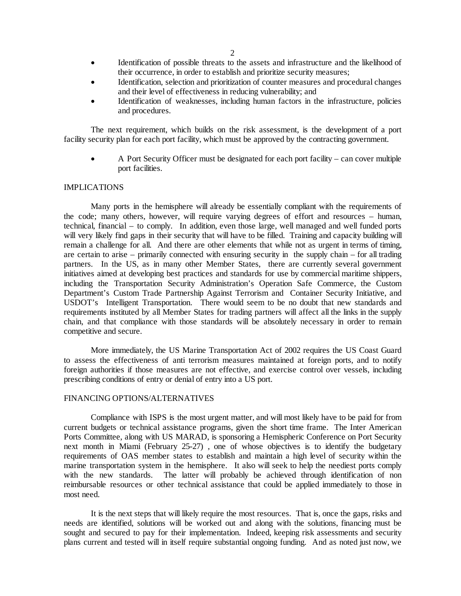- Identification of possible threats to the assets and infrastructure and the likelihood of their occurrence, in order to establish and prioritize security measures;
- Identification, selection and prioritization of counter measures and procedural changes and their level of effectiveness in reducing vulnerability; and
- Identification of weaknesses, including human factors in the infrastructure, policies and procedures.

The next requirement, which builds on the risk assessment, is the development of a port facility security plan for each port facility, which must be approved by the contracting government.

• A Port Security Officer must be designated for each port facility – can cover multiple port facilities.

### IMPLICATIONS

Many ports in the hemisphere will already be essentially compliant with the requirements of the code; many others, however, will require varying degrees of effort and resources – human, technical, financial – to comply. In addition, even those large, well managed and well funded ports will very likely find gaps in their security that will have to be filled. Training and capacity building will remain a challenge for all. And there are other elements that while not as urgent in terms of timing, are certain to arise – primarily connected with ensuring security in the supply chain – for all trading partners. In the US, as in many other Member States, there are currently several government initiatives aimed at developing best practices and standards for use by commercial maritime shippers, including the Transportation Security Administration's Operation Safe Commerce, the Custom Department's Custom Trade Partnership Against Terrorism and Container Security Initiative, and USDOT's Intelligent Transportation. There would seem to be no doubt that new standards and requirements instituted by all Member States for trading partners will affect all the links in the supply chain, and that compliance with those standards will be absolutely necessary in order to remain competitive and secure.

More immediately, the US Marine Transportation Act of 2002 requires the US Coast Guard to assess the effectiveness of anti terrorism measures maintained at foreign ports, and to notify foreign authorities if those measures are not effective, and exercise control over vessels, including prescribing conditions of entry or denial of entry into a US port.

### FINANCING OPTIONS/ALTERNATIVES

Compliance with ISPS is the most urgent matter, and will most likely have to be paid for from current budgets or technical assistance programs, given the short time frame. The Inter American Ports Committee, along with US MARAD, is sponsoring a Hemispheric Conference on Port Security next month in Miami (February 25-27) , one of whose objectives is to identify the budgetary requirements of OAS member states to establish and maintain a high level of security within the marine transportation system in the hemisphere. It also will seek to help the neediest ports comply with the new standards. The latter will probably be achieved through identification of non reimbursable resources or other technical assistance that could be applied immediately to those in most need.

It is the next steps that will likely require the most resources. That is, once the gaps, risks and needs are identified, solutions will be worked out and along with the solutions, financing must be sought and secured to pay for their implementation. Indeed, keeping risk assessments and security plans current and tested will in itself require substantial ongoing funding. And as noted just now, we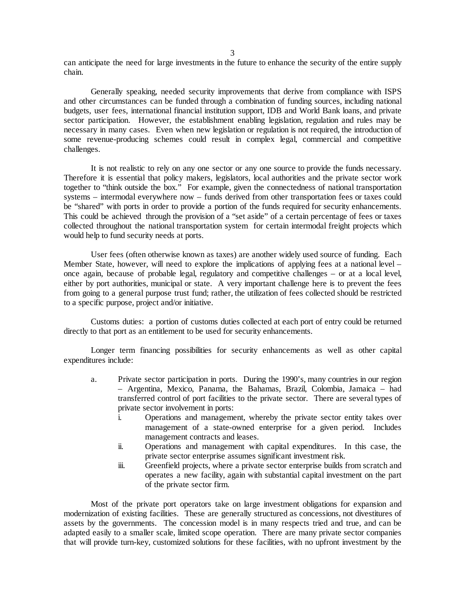can anticipate the need for large investments in the future to enhance the security of the entire supply chain.

Generally speaking, needed security improvements that derive from compliance with ISPS and other circumstances can be funded through a combination of funding sources, including national budgets, user fees, international financial institution support, IDB and World Bank loans, and private sector participation. However, the establishment enabling legislation, regulation and rules may be necessary in many cases. Even when new legislation or regulation is not required, the introduction of some revenue-producing schemes could result in complex legal, commercial and competitive challenges.

It is not realistic to rely on any one sector or any one source to provide the funds necessary. Therefore it is essential that policy makers, legislators, local authorities and the private sector work together to "think outside the box." For example, given the connectedness of national transportation systems – intermodal everywhere now – funds derived from other transportation fees or taxes could be "shared" with ports in order to provide a portion of the funds required for security enhancements. This could be achieved through the provision of a "set aside" of a certain percentage of fees or taxes collected throughout the national transportation system for certain intermodal freight projects which would help to fund security needs at ports.

User fees (often otherwise known as taxes) are another widely used source of funding. Each Member State, however, will need to explore the implications of applying fees at a national level – once again, because of probable legal, regulatory and competitive challenges – or at a local level, either by port authorities, municipal or state. A very important challenge here is to prevent the fees from going to a general purpose trust fund; rather, the utilization of fees collected should be restricted to a specific purpose, project and/or initiative.

Customs duties: a portion of customs duties collected at each port of entry could be returned directly to that port as an entitlement to be used for security enhancements.

Longer term financing possibilities for security enhancements as well as other capital expenditures include:

- a. Private sector participation in ports. During the 1990's, many countries in our region – Argentina, Mexico, Panama, the Bahamas, Brazil, Colombia, Jamaica – had transferred control of port facilities to the private sector. There are several types of private sector involvement in ports:
	- i. Operations and management, whereby the private sector entity takes over management of a state-owned enterprise for a given period. Includes management contracts and leases.
	- ii. Operations and management with capital expenditures. In this case, the private sector enterprise assumes significant investment risk.
	- iii. Greenfield projects, where a private sector enterprise builds from scratch and operates a new facility, again with substantial capital investment on the part of the private sector firm.

Most of the private port operators take on large investment obligations for expansion and modernization of existing facilities. These are generally structured as concessions, not divestitures of assets by the governments. The concession model is in many respects tried and true, and can be adapted easily to a smaller scale, limited scope operation. There are many private sector companies that will provide turn-key, customized solutions for these facilities, with no upfront investment by the

3